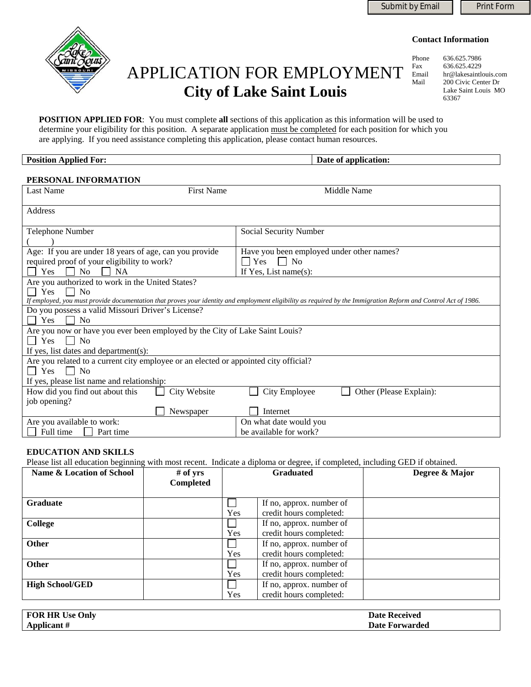

# APPLICATION FOR EMPLOYMENT **City of Lake Saint Louis**

Phone 636.625.7986<br>Fax 636.625.4229 636.625.4229 Email hr@lakesaintlouis.com Mail 200 Civic Center Dr Lake Saint Louis MO 63367

**POSITION APPLIED FOR**: You must complete **all** sections of this application as this information will be used to determine your eligibility for this position. A separate application must be completed for each position for which you are applying. If you need assistance completing this application, please contact human resources.

#### **Position Applied For: Date of application: Date of application:**

| PERSONAL INFORMATION                                                                                                                                                                                                                                 |                                                  |  |  |  |
|------------------------------------------------------------------------------------------------------------------------------------------------------------------------------------------------------------------------------------------------------|--------------------------------------------------|--|--|--|
| <b>First Name</b><br><b>Last Name</b>                                                                                                                                                                                                                | Middle Name                                      |  |  |  |
| Address                                                                                                                                                                                                                                              |                                                  |  |  |  |
| Telephone Number                                                                                                                                                                                                                                     | Social Security Number                           |  |  |  |
| Age: If you are under 18 years of age, can you provide<br>Have you been employed under other names?<br>required proof of your eligibility to work?<br>$\blacksquare$ Yes<br>$\Box$ No<br>Yes<br>N <sub>o</sub><br><b>NA</b><br>If Yes, List name(s): |                                                  |  |  |  |
| Are you authorized to work in the United States?<br>Yes<br>No<br>If employed, you must provide documentation that proves your identity and employment eligibility as required by the Immigration Reform and Control Act of 1986.                     |                                                  |  |  |  |
| Do you possess a valid Missouri Driver's License?<br><b>Yes</b><br>N <sub>0</sub>                                                                                                                                                                    |                                                  |  |  |  |
| Are you now or have you ever been employed by the City of Lake Saint Louis?<br>$\vert$   Yes<br><b>No</b><br>$\blacksquare$<br>If yes, list dates and department(s):                                                                                 |                                                  |  |  |  |
| Are you related to a current city employee or an elected or appointed city official?<br><b>Yes</b><br><b>No</b><br>$\blacksquare$<br>If yes, please list name and relationship:                                                                      |                                                  |  |  |  |
| How did you find out about this<br>City Website                                                                                                                                                                                                      | City Employee<br>Other (Please Explain):         |  |  |  |
| job opening?<br>Newspaper                                                                                                                                                                                                                            | Internet                                         |  |  |  |
| Are you available to work:<br>Full time<br>Part time                                                                                                                                                                                                 | On what date would you<br>be available for work? |  |  |  |

#### **EDUCATION AND SKILLS**

Please list all education beginning with most recent. Indicate a diploma or degree, if completed, including GED if obtained.

| <b>Name &amp; Location of School</b> | $#$ of yrs<br><b>Completed</b> |     | <b>Graduated</b>         | Degree & Major |
|--------------------------------------|--------------------------------|-----|--------------------------|----------------|
| <b>Graduate</b>                      |                                |     | If no, approx. number of |                |
|                                      |                                | Yes | credit hours completed:  |                |
| <b>College</b>                       |                                |     | If no, approx. number of |                |
|                                      |                                | Yes | credit hours completed:  |                |
| Other                                |                                |     | If no, approx. number of |                |
|                                      |                                | Yes | credit hours completed:  |                |
| Other                                |                                |     | If no, approx. number of |                |
|                                      |                                | Yes | credit hours completed:  |                |
| <b>High School/GED</b>               |                                |     | If no, approx. number of |                |
|                                      |                                | Yes | credit hours completed:  |                |

| <b>Use Only</b><br><b>FOR HR Us</b> | <b>Date Received</b> |
|-------------------------------------|----------------------|
| Applicant #                         | Date Forwarded       |

**Contact Information**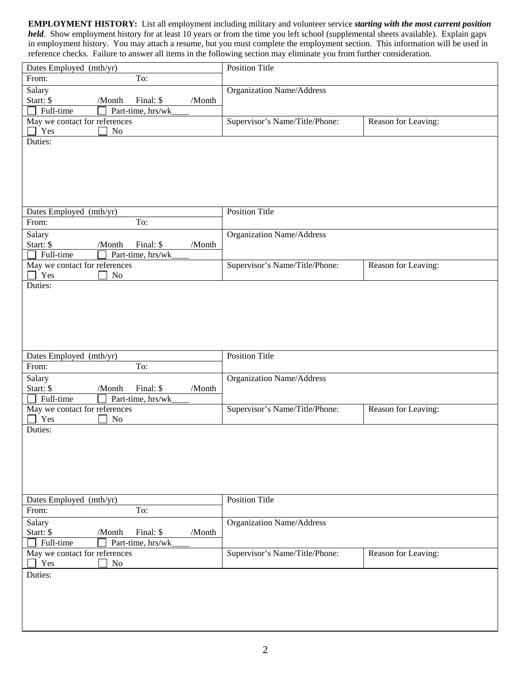**EMPLOYMENT HISTORY:** List all employment including military and volunteer service *starting with the most current position held*. Show employment history for at least 10 years or from the time you left school (supplemental sheets available). Explain gaps in employment history. You may attach a resume, but you must complete the employment section. This information will be used in reference checks. Failure to answer all items in the following section may eliminate you from further consideration.

| Dates Employed (mth/yr)                              | <b>Position Title</b>            |                     |
|------------------------------------------------------|----------------------------------|---------------------|
| To:<br>From:                                         |                                  |                     |
| Salary                                               | <b>Organization Name/Address</b> |                     |
| Start: \$<br>/Month<br>Final: \$<br>/Month           |                                  |                     |
| Full-time<br>Part-time, hrs/wk                       |                                  |                     |
| May we contact for references                        | Supervisor's Name/Title/Phone:   | Reason for Leaving: |
| Yes<br>No                                            |                                  |                     |
| Duties:                                              |                                  |                     |
|                                                      |                                  |                     |
|                                                      |                                  |                     |
|                                                      |                                  |                     |
|                                                      |                                  |                     |
|                                                      |                                  |                     |
| Dates Employed (mth/yr)                              | <b>Position Title</b>            |                     |
| To:<br>From:                                         |                                  |                     |
| Salary                                               | Organization Name/Address        |                     |
| Start: \$<br>Final: \$<br>/Month<br>/Month           |                                  |                     |
| Full-time<br>Part-time, hrs/wk                       |                                  |                     |
| May we contact for references                        | Supervisor's Name/Title/Phone:   | Reason for Leaving: |
| Yes<br>No                                            |                                  |                     |
| Duties:                                              |                                  |                     |
|                                                      |                                  |                     |
|                                                      |                                  |                     |
|                                                      |                                  |                     |
|                                                      |                                  |                     |
|                                                      |                                  |                     |
|                                                      | <b>Position Title</b>            |                     |
| Dates Employed (mth/yr)<br>To:<br>From:              |                                  |                     |
|                                                      |                                  |                     |
| Salary<br>Start: \$<br>Final: \$<br>/Month<br>/Month | <b>Organization Name/Address</b> |                     |
| Full-time<br>Part-time, hrs/wk                       |                                  |                     |
| May we contact for references                        | Supervisor's Name/Title/Phone:   | Reason for Leaving: |
| Yes<br>No                                            |                                  |                     |
| Duties:                                              |                                  |                     |
|                                                      |                                  |                     |
|                                                      |                                  |                     |
|                                                      |                                  |                     |
|                                                      |                                  |                     |
|                                                      |                                  |                     |
|                                                      |                                  |                     |
| Dates Employed (mth/yr)                              | <b>Position Title</b>            |                     |
| To:<br>From:                                         |                                  |                     |
| Salary                                               | <b>Organization Name/Address</b> |                     |
| Start: \$<br>/Month<br>Final: \$<br>/Month           |                                  |                     |
| Full-time<br>Part-time, hrs/wk                       |                                  |                     |
| May we contact for references                        | Supervisor's Name/Title/Phone:   | Reason for Leaving: |
| Yes<br>N <sub>o</sub>                                |                                  |                     |
|                                                      |                                  |                     |
| Duties:                                              |                                  |                     |
|                                                      |                                  |                     |
|                                                      |                                  |                     |
|                                                      |                                  |                     |
|                                                      |                                  |                     |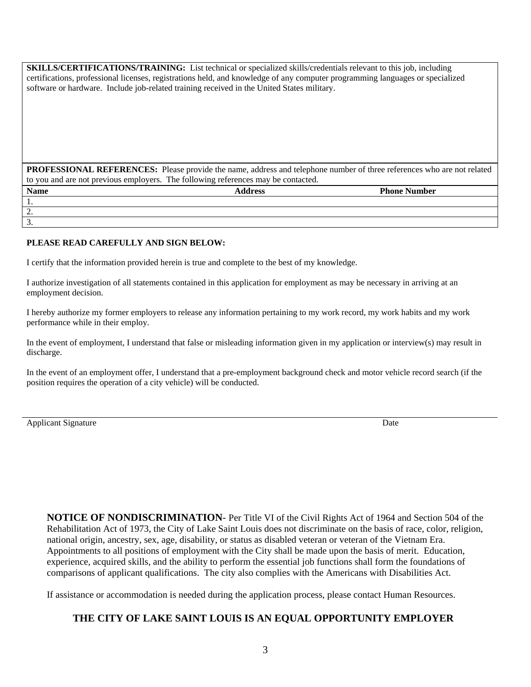**SKILLS/CERTIFICATIONS/TRAINING:** List technical or specialized skills/credentials relevant to this job, including certifications, professional licenses, registrations held, and knowledge of any computer programming languages or specialized software or hardware. Include job-related training received in the United States military.

**PROFESSIONAL REFERENCES:** Please provide the name, address and telephone number of three references who are not related to you and are not previous employers. The following references may be contacted.

| <b>Name</b>     | <b>Address</b> | <b>Phone Number</b> |
|-----------------|----------------|---------------------|
| . .             |                |                     |
| <u>.</u>        |                |                     |
| $\mathfrak{I}.$ |                |                     |

#### **PLEASE READ CAREFULLY AND SIGN BELOW:**

I certify that the information provided herein is true and complete to the best of my knowledge.

I authorize investigation of all statements contained in this application for employment as may be necessary in arriving at an employment decision.

I hereby authorize my former employers to release any information pertaining to my work record, my work habits and my work performance while in their employ.

In the event of employment, I understand that false or misleading information given in my application or interview(s) may result in discharge.

In the event of an employment offer, I understand that a pre-employment background check and motor vehicle record search (if the position requires the operation of a city vehicle) will be conducted.

Applicant Signature Date by the United States of the United States of the Date of the United States of the United States of the United States of the United States of the United States of the United States of the United Sta

**NOTICE OF NONDISCRIMINATION**- Per Title VI of the Civil Rights Act of 1964 and Section 504 of the Rehabilitation Act of 1973, the City of Lake Saint Louis does not discriminate on the basis of race, color, religion, national origin, ancestry, sex, age, disability, or status as disabled veteran or veteran of the Vietnam Era. Appointments to all positions of employment with the City shall be made upon the basis of merit. Education, experience, acquired skills, and the ability to perform the essential job functions shall form the foundations of comparisons of applicant qualifications. The city also complies with the Americans with Disabilities Act.

If assistance or accommodation is needed during the application process, please contact Human Resources.

### **THE CITY OF LAKE SAINT LOUIS IS AN EQUAL OPPORTUNITY EMPLOYER**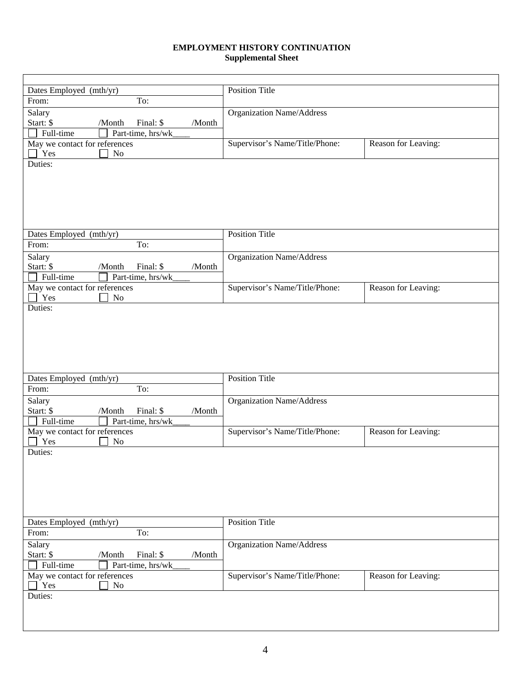#### **EMPLOYMENT HISTORY CONTINUATION Supplemental Sheet**

| Dates Employed (mth/yr)                    | <b>Position Title</b>            |                     |
|--------------------------------------------|----------------------------------|---------------------|
| To:<br>From:                               |                                  |                     |
| Salary                                     | <b>Organization Name/Address</b> |                     |
| Start: \$<br>Final: \$<br>/Month<br>/Month |                                  |                     |
| Part-time, hrs/wk<br>Full-time             |                                  |                     |
| May we contact for references              | Supervisor's Name/Title/Phone:   | Reason for Leaving: |
| Yes<br>N <sub>o</sub>                      |                                  |                     |
| Duties:                                    |                                  |                     |
|                                            |                                  |                     |
|                                            |                                  |                     |
|                                            |                                  |                     |
|                                            |                                  |                     |
|                                            |                                  |                     |
|                                            |                                  |                     |
| Dates Employed (mth/yr)                    | <b>Position Title</b>            |                     |
| To:<br>From:                               |                                  |                     |
| Salary                                     | Organization Name/Address        |                     |
| Start: \$<br>Final: \$<br>/Month<br>/Month |                                  |                     |
| Full-time<br>Part-time, hrs/wk             |                                  |                     |
| May we contact for references              | Supervisor's Name/Title/Phone:   | Reason for Leaving: |
| Yes<br>N <sub>o</sub>                      |                                  |                     |
| Duties:                                    |                                  |                     |
|                                            |                                  |                     |
|                                            |                                  |                     |
|                                            |                                  |                     |
|                                            |                                  |                     |
|                                            |                                  |                     |
|                                            |                                  |                     |
| Dates Employed (mth/yr)                    | <b>Position Title</b>            |                     |
| From:<br>To:                               |                                  |                     |
| Salary                                     | Organization Name/Address        |                     |
| Final: \$<br>Start: \$<br>/Month<br>/Month |                                  |                     |
| Part-time, hrs/wk<br>Full-time             |                                  |                     |
| May we contact for references              | Supervisor's Name/Title/Phone:   | Reason for Leaving: |
| Yes<br>N <sub>o</sub>                      |                                  |                     |
| Duties:                                    |                                  |                     |
|                                            |                                  |                     |
|                                            |                                  |                     |
|                                            |                                  |                     |
|                                            |                                  |                     |
|                                            |                                  |                     |
|                                            |                                  |                     |
| Dates Employed (mth/yr)                    | <b>Position Title</b>            |                     |
| To:<br>From:                               |                                  |                     |
| Salary                                     | <b>Organization Name/Address</b> |                     |
| Start: \$<br>Final: \$<br>/Month<br>/Month |                                  |                     |
| Full-time<br>Part-time, hrs/wk             |                                  |                     |
| May we contact for references              | Supervisor's Name/Title/Phone:   | Reason for Leaving: |
| Yes<br>N <sub>o</sub>                      |                                  |                     |
| Duties:                                    |                                  |                     |
|                                            |                                  |                     |
|                                            |                                  |                     |
|                                            |                                  |                     |